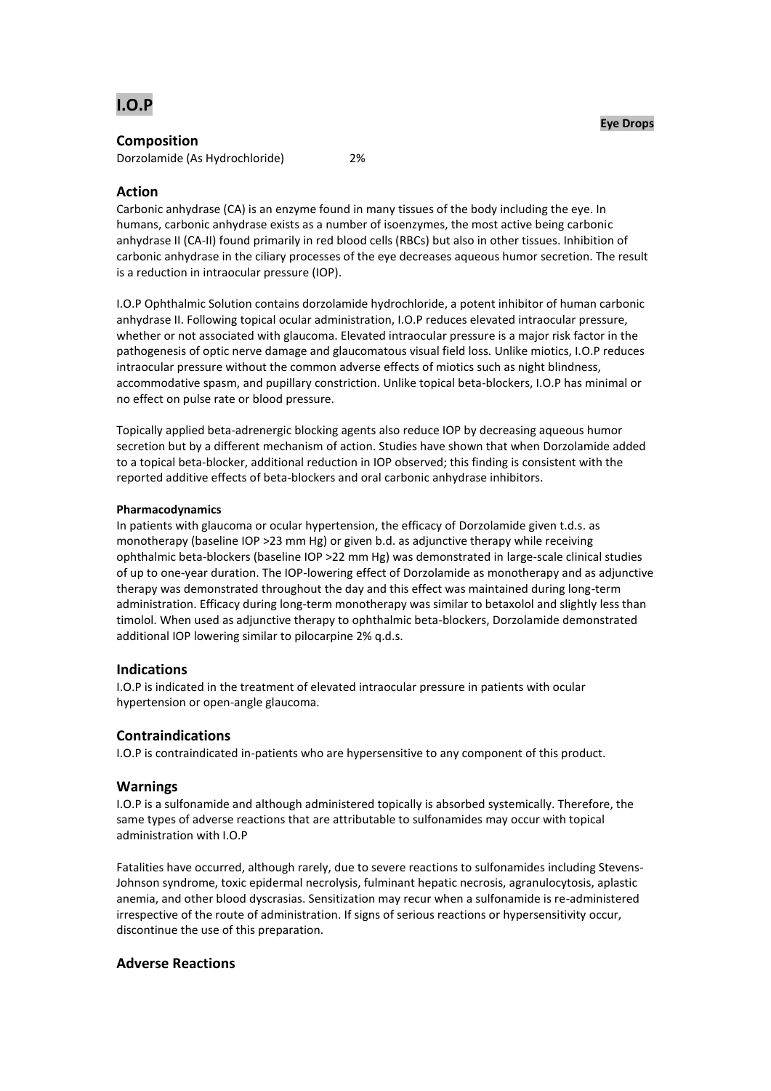

## **Composition**

Dorzolamide (As Hydrochloride) 2%

# **Action**

Carbonic anhydrase (CA) is an enzyme found in many tissues of the body including the eye. In humans, carbonic anhydrase exists as a number of isoenzymes, the most active being carbonic anhydrase II (CA-II) found primarily in red blood cells (RBCs) but also in other tissues. Inhibition of carbonic anhydrase in the ciliary processes of the eye decreases aqueous humor secretion. The result is a reduction in intraocular pressure (IOP).

I.O.P Ophthalmic Solution contains dorzolamide hydrochloride, a potent inhibitor of human carbonic anhydrase II. Following topical ocular administration, I.O.P reduces elevated intraocular pressure, whether or not associated with glaucoma. Elevated intraocular pressure is a major risk factor in the pathogenesis of optic nerve damage and glaucomatous visual field loss. Unlike miotics, I.O.P reduces intraocular pressure without the common adverse effects of miotics such as night blindness, accommodative spasm, and pupillary constriction. Unlike topical beta-blockers, I.O.P has minimal or no effect on pulse rate or blood pressure.

Topically applied beta-adrenergic blocking agents also reduce IOP by decreasing aqueous humor secretion but by a different mechanism of action. Studies have shown that when Dorzolamide added to a topical beta-blocker, additional reduction in IOP observed; this finding is consistent with the reported additive effects of beta-blockers and oral carbonic anhydrase inhibitors.

## **Pharmacodynamics**

In patients with glaucoma or ocular hypertension, the efficacy of Dorzolamide given t.d.s. as monotherapy (baseline IOP >23 mm Hg) or given b.d. as adjunctive therapy while receiving ophthalmic beta-blockers (baseline IOP >22 mm Hg) was demonstrated in large-scale clinical studies of up to one-year duration. The IOP-lowering effect of Dorzolamide as monotherapy and as adjunctive therapy was demonstrated throughout the day and this effect was maintained during long-term administration. Efficacy during long-term monotherapy was similar to betaxolol and slightly less than timolol. When used as adjunctive therapy to ophthalmic beta-blockers, Dorzolamide demonstrated additional IOP lowering similar to pilocarpine 2% q.d.s.

# **Indications**

I.O.P is indicated in the treatment of elevated intraocular pressure in patients with ocular hypertension or open-angle glaucoma.

# **Contraindications**

I.O.P is contraindicated in-patients who are hypersensitive to any component of this product.

## **Warnings**

I.O.P is a sulfonamide and although administered topically is absorbed systemically. Therefore, the same types of adverse reactions that are attributable to sulfonamides may occur with topical administration with I.O.P

Fatalities have occurred, although rarely, due to severe reactions to sulfonamides including Stevens-Johnson syndrome, toxic epidermal necrolysis, fulminant hepatic necrosis, agranulocytosis, aplastic anemia, and other blood dyscrasias. Sensitization may recur when a sulfonamide is re-administered irrespective of the route of administration. If signs of serious reactions or hypersensitivity occur, discontinue the use of this preparation.

## **Adverse Reactions**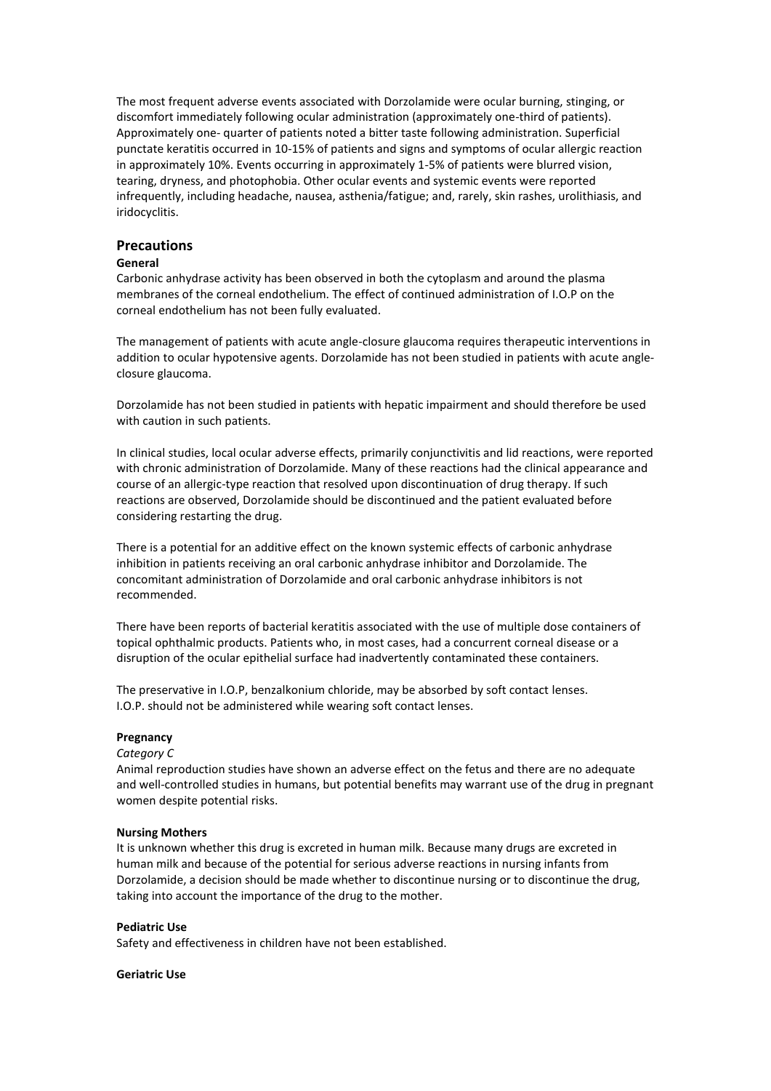The most frequent adverse events associated with Dorzolamide were ocular burning, stinging, or discomfort immediately following ocular administration (approximately one-third of patients). Approximately one- quarter of patients noted a bitter taste following administration. Superficial punctate keratitis occurred in 10-15% of patients and signs and symptoms of ocular allergic reaction in approximately 10%. Events occurring in approximately 1-5% of patients were blurred vision, tearing, dryness, and photophobia. Other ocular events and systemic events were reported infrequently, including headache, nausea, asthenia/fatigue; and, rarely, skin rashes, urolithiasis, and iridocyclitis.

## **Precautions**

### **General**

Carbonic anhydrase activity has been observed in both the cytoplasm and around the plasma membranes of the corneal endothelium. The effect of continued administration of I.O.P on the corneal endothelium has not been fully evaluated.

The management of patients with acute angle-closure glaucoma requires therapeutic interventions in addition to ocular hypotensive agents. Dorzolamide has not been studied in patients with acute angleclosure glaucoma.

Dorzolamide has not been studied in patients with hepatic impairment and should therefore be used with caution in such patients.

In clinical studies, local ocular adverse effects, primarily conjunctivitis and lid reactions, were reported with chronic administration of Dorzolamide. Many of these reactions had the clinical appearance and course of an allergic-type reaction that resolved upon discontinuation of drug therapy. If such reactions are observed, Dorzolamide should be discontinued and the patient evaluated before considering restarting the drug.

There is a potential for an additive effect on the known systemic effects of carbonic anhydrase inhibition in patients receiving an oral carbonic anhydrase inhibitor and Dorzolamide. The concomitant administration of Dorzolamide and oral carbonic anhydrase inhibitors is not recommended.

There have been reports of bacterial keratitis associated with the use of multiple dose containers of topical ophthalmic products. Patients who, in most cases, had a concurrent corneal disease or a disruption of the ocular epithelial surface had inadvertently contaminated these containers.

The preservative in I.O.P, benzalkonium chloride, may be absorbed by soft contact lenses. I.O.P. should not be administered while wearing soft contact lenses.

### **Pregnancy**

#### *Category C*

Animal reproduction studies have shown an adverse effect on the fetus and there are no adequate and well-controlled studies in humans, but potential benefits may warrant use of the drug in pregnant women despite potential risks.

#### **Nursing Mothers**

It is unknown whether this drug is excreted in human milk. Because many drugs are excreted in human milk and because of the potential for serious adverse reactions in nursing infants from Dorzolamide, a decision should be made whether to discontinue nursing or to discontinue the drug, taking into account the importance of the drug to the mother.

#### **Pediatric Use**

Safety and effectiveness in children have not been established.

### **Geriatric Use**